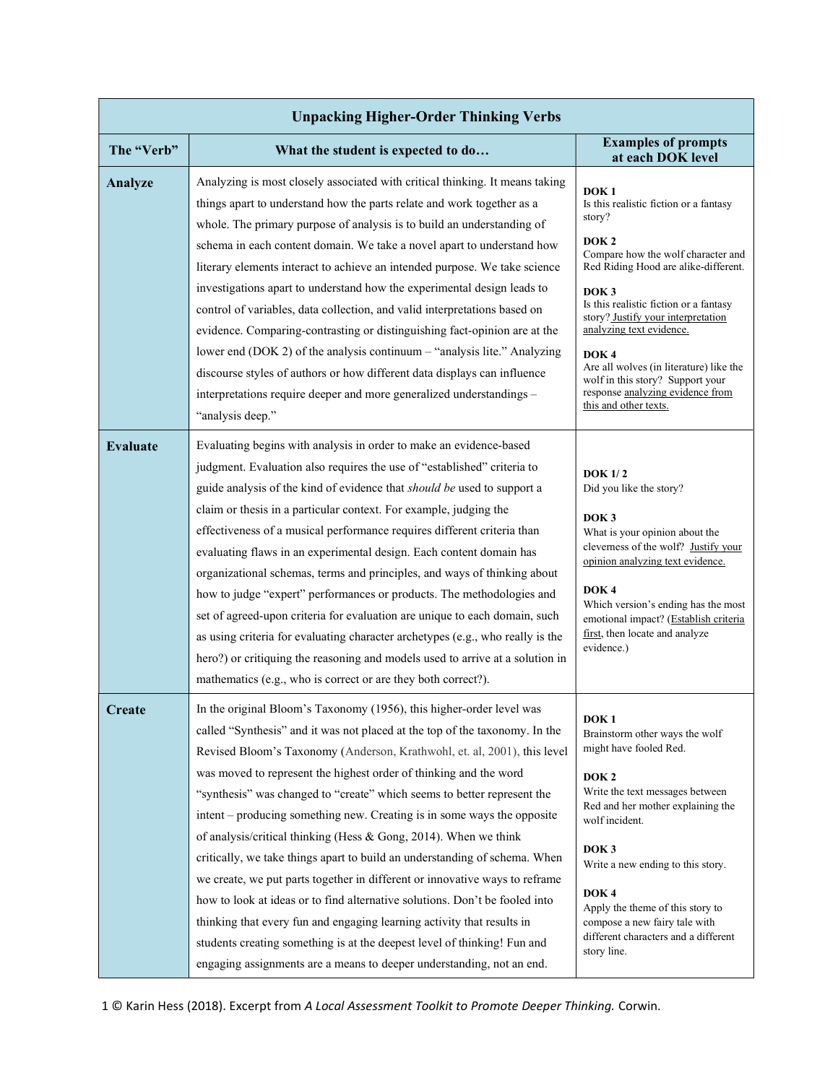| <b>Unpacking Higher-Order Thinking Verbs</b> |                                                                                                                                                                                                                                                                                                                                                                                                                                                                                                                                                                                                                                                                                                                                                                                                                                                                                                                                                                                                           |                                                                                                                                                                                                                                                                                                                                                                                                     |  |  |
|----------------------------------------------|-----------------------------------------------------------------------------------------------------------------------------------------------------------------------------------------------------------------------------------------------------------------------------------------------------------------------------------------------------------------------------------------------------------------------------------------------------------------------------------------------------------------------------------------------------------------------------------------------------------------------------------------------------------------------------------------------------------------------------------------------------------------------------------------------------------------------------------------------------------------------------------------------------------------------------------------------------------------------------------------------------------|-----------------------------------------------------------------------------------------------------------------------------------------------------------------------------------------------------------------------------------------------------------------------------------------------------------------------------------------------------------------------------------------------------|--|--|
| The "Verb"                                   | What the student is expected to do                                                                                                                                                                                                                                                                                                                                                                                                                                                                                                                                                                                                                                                                                                                                                                                                                                                                                                                                                                        | <b>Examples of prompts</b><br>at each DOK level                                                                                                                                                                                                                                                                                                                                                     |  |  |
| Analyze                                      | Analyzing is most closely associated with critical thinking. It means taking<br>things apart to understand how the parts relate and work together as a<br>whole. The primary purpose of analysis is to build an understanding of                                                                                                                                                                                                                                                                                                                                                                                                                                                                                                                                                                                                                                                                                                                                                                          | DOK <sub>1</sub><br>Is this realistic fiction or a fantasy<br>story?                                                                                                                                                                                                                                                                                                                                |  |  |
|                                              | schema in each content domain. We take a novel apart to understand how<br>literary elements interact to achieve an intended purpose. We take science                                                                                                                                                                                                                                                                                                                                                                                                                                                                                                                                                                                                                                                                                                                                                                                                                                                      | DOK <sub>2</sub><br>Compare how the wolf character and<br>Red Riding Hood are alike-different.                                                                                                                                                                                                                                                                                                      |  |  |
|                                              | investigations apart to understand how the experimental design leads to<br>control of variables, data collection, and valid interpretations based on<br>evidence. Comparing-contrasting or distinguishing fact-opinion are at the                                                                                                                                                                                                                                                                                                                                                                                                                                                                                                                                                                                                                                                                                                                                                                         | DOK <sub>3</sub><br>Is this realistic fiction or a fantasy<br>story? Justify your interpretation<br>analyzing text evidence.                                                                                                                                                                                                                                                                        |  |  |
|                                              | lower end (DOK 2) of the analysis continuum - "analysis lite." Analyzing<br>discourse styles of authors or how different data displays can influence<br>interpretations require deeper and more generalized understandings -<br>"analysis deep."                                                                                                                                                                                                                                                                                                                                                                                                                                                                                                                                                                                                                                                                                                                                                          | DOK <sub>4</sub><br>Are all wolves (in literature) like the<br>wolf in this story? Support your<br>response analyzing evidence from<br>this and other texts.                                                                                                                                                                                                                                        |  |  |
| <b>Evaluate</b>                              | Evaluating begins with analysis in order to make an evidence-based<br>judgment. Evaluation also requires the use of "established" criteria to<br>guide analysis of the kind of evidence that should be used to support a<br>claim or thesis in a particular context. For example, judging the<br>effectiveness of a musical performance requires different criteria than<br>evaluating flaws in an experimental design. Each content domain has<br>organizational schemas, terms and principles, and ways of thinking about<br>how to judge "expert" performances or products. The methodologies and<br>set of agreed-upon criteria for evaluation are unique to each domain, such<br>as using criteria for evaluating character archetypes (e.g., who really is the<br>hero?) or critiquing the reasoning and models used to arrive at a solution in<br>mathematics (e.g., who is correct or are they both correct?).                                                                                    | <b>DOK</b> 1/2<br>Did you like the story?<br>DOK <sub>3</sub><br>What is your opinion about the<br>cleverness of the wolf? Justify your<br>opinion analyzing text evidence.<br>DOK <sub>4</sub><br>Which version's ending has the most<br>emotional impact? (Establish criteria<br>first, then locate and analyze<br>evidence.)                                                                     |  |  |
| <b>Create</b>                                | In the original Bloom's Taxonomy (1956), this higher-order level was<br>called "Synthesis" and it was not placed at the top of the taxonomy. In the<br>Revised Bloom's Taxonomy (Anderson, Krathwohl, et. al, 2001), this level<br>was moved to represent the highest order of thinking and the word<br>"synthesis" was changed to "create" which seems to better represent the<br>intent - producing something new. Creating is in some ways the opposite<br>of analysis/critical thinking (Hess & Gong, 2014). When we think<br>critically, we take things apart to build an understanding of schema. When<br>we create, we put parts together in different or innovative ways to reframe<br>how to look at ideas or to find alternative solutions. Don't be fooled into<br>thinking that every fun and engaging learning activity that results in<br>students creating something is at the deepest level of thinking! Fun and<br>engaging assignments are a means to deeper understanding, not an end. | DOK <sub>1</sub><br>Brainstorm other ways the wolf<br>might have fooled Red.<br>DOK <sub>2</sub><br>Write the text messages between<br>Red and her mother explaining the<br>wolf incident.<br>DOK <sub>3</sub><br>Write a new ending to this story.<br>DOK <sub>4</sub><br>Apply the theme of this story to<br>compose a new fairy tale with<br>different characters and a different<br>story line. |  |  |

1 © Karin Hess (2018). Excerpt from A Local Assessment Toolkit to Promote Deeper Thinking. Corwin.